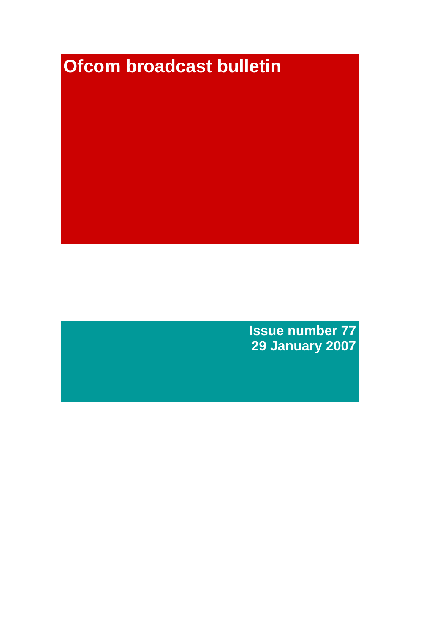# **Ofcom broadcast bulletin**

**Issue number 77 29 January 2007**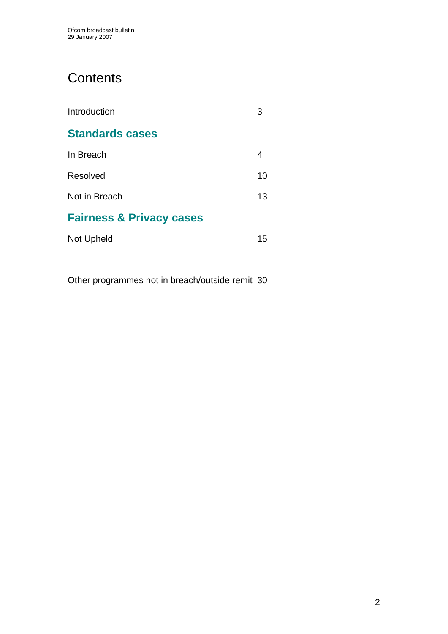# **Contents**

| Introduction                        |    |
|-------------------------------------|----|
| <b>Standards cases</b>              |    |
| In Breach                           | 4  |
| Resolved                            | 10 |
| Not in Breach                       | 13 |
| <b>Fairness &amp; Privacy cases</b> |    |
| Not Upheld                          | 15 |

Other programmes not in breach/outside remit 30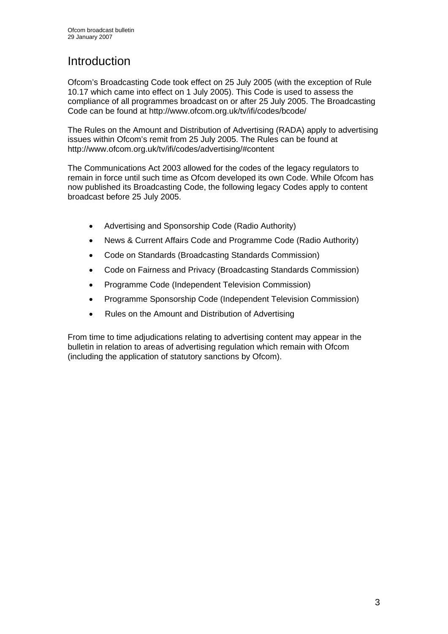# **Introduction**

Ofcom's Broadcasting Code took effect on 25 July 2005 (with the exception of Rule 10.17 which came into effect on 1 July 2005). This Code is used to assess the compliance of all programmes broadcast on or after 25 July 2005. The Broadcasting Code can be found at http://www.ofcom.org.uk/tv/ifi/codes/bcode/

The Rules on the Amount and Distribution of Advertising (RADA) apply to advertising issues within Ofcom's remit from 25 July 2005. The Rules can be found at http://www.ofcom.org.uk/tv/ifi/codes/advertising/#content

The Communications Act 2003 allowed for the codes of the legacy regulators to remain in force until such time as Ofcom developed its own Code. While Ofcom has now published its Broadcasting Code, the following legacy Codes apply to content broadcast before 25 July 2005.

- Advertising and Sponsorship Code (Radio Authority)
- News & Current Affairs Code and Programme Code (Radio Authority)
- Code on Standards (Broadcasting Standards Commission)
- Code on Fairness and Privacy (Broadcasting Standards Commission)
- Programme Code (Independent Television Commission)
- Programme Sponsorship Code (Independent Television Commission)
- Rules on the Amount and Distribution of Advertising

From time to time adjudications relating to advertising content may appear in the bulletin in relation to areas of advertising regulation which remain with Ofcom (including the application of statutory sanctions by Ofcom).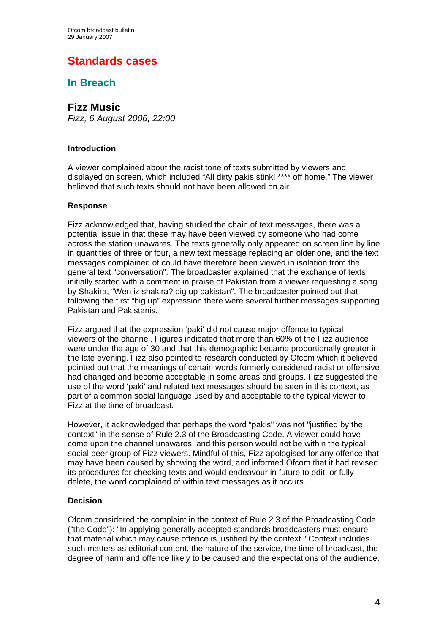# **Standards cases**

# **In Breach**

# **Fizz Music**

*Fizz, 6 August 2006, 22:00*

### **Introduction**

A viewer complained about the racist tone of texts submitted by viewers and displayed on screen, which included "All dirty pakis stink! \*\*\*\* off home." The viewer believed that such texts should not have been allowed on air.

# **Response**

Fizz acknowledged that, having studied the chain of text messages, there was a potential issue in that these may have been viewed by someone who had come across the station unawares. The texts generally only appeared on screen line by line in quantities of three or four, a new text message replacing an older one, and the text messages complained of could have therefore been viewed in isolation from the general text "conversation". The broadcaster explained that the exchange of texts initially started with a comment in praise of Pakistan from a viewer requesting a song by Shakira, "Wen iz shakira? big up pakistan". The broadcaster pointed out that following the first "big up" expression there were several further messages supporting Pakistan and Pakistanis.

Fizz argued that the expression 'paki' did not cause major offence to typical viewers of the channel. Figures indicated that more than 60% of the Fizz audience were under the age of 30 and that this demographic became proportionally greater in the late evening. Fizz also pointed to research conducted by Ofcom which it believed pointed out that the meanings of certain words formerly considered racist or offensive had changed and become acceptable in some areas and groups. Fizz suggested the use of the word 'paki' and related text messages should be seen in this context, as part of a common social language used by and acceptable to the typical viewer to Fizz at the time of broadcast.

However, it acknowledged that perhaps the word "pakis" was not "justified by the context" in the sense of Rule 2.3 of the Broadcasting Code. A viewer could have come upon the channel unawares, and this person would not be within the typical social peer group of Fizz viewers. Mindful of this, Fizz apologised for any offence that may have been caused by showing the word, and informed Ofcom that it had revised its procedures for checking texts and would endeavour in future to edit, or fully delete, the word complained of within text messages as it occurs.

# **Decision**

Ofcom considered the complaint in the context of Rule 2.3 of the Broadcasting Code ("the Code"): "In applying generally accepted standards broadcasters must ensure that material which may cause offence is justified by the context." Context includes such matters as editorial content, the nature of the service, the time of broadcast, the degree of harm and offence likely to be caused and the expectations of the audience.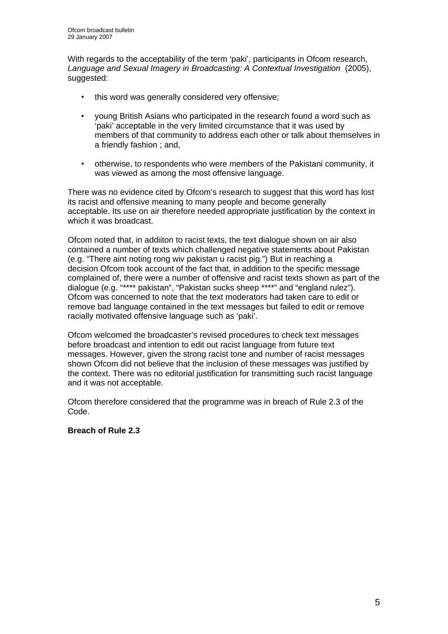With regards to the acceptability of the term 'paki', participants in Ofcom research, *Language and Sexual Imagery in Broadcasting: A Contextual Investigation* (2005), suggested:

- this word was generally considered very offensive;
- young British Asians who participated in the research found a word such as 'paki' acceptable in the very limited circumstance that it was used by members of that community to address each other or talk about themselves in a friendly fashion ; and,
- otherwise, to respondents who were members of the Pakistani community, it was viewed as among the most offensive language.

There was no evidence cited by Ofcom's research to suggest that this word has lost its racist and offensive meaning to many people and become generally acceptable. Its use on air therefore needed appropriate justification by the context in which it was broadcast.

Ofcom noted that, in addiiton to racist texts, the text dialogue shown on air also contained a number of texts which challenged negative statements about Pakistan (e.g. "There aint noting rong wiv pakistan u racist pig.") But in reaching a decision Ofcom took account of the fact that, in addition to the specific message complained of, there were a number of offensive and racist texts shown as part of the dialogue (e.g. "\*\*\*\* pakistan", "Pakistan sucks sheep \*\*\*\*" and "england rulez"). Ofcom was concerned to note that the text moderators had taken care to edit or remove bad language contained in the text messages but failed to edit or remove racially motivated offensive language such as 'paki'.

Ofcom welcomed the broadcaster's revised procedures to check text messages before broadcast and intention to edit out racist language from future text messages. However, given the strong racist tone and number of racist messages shown Ofcom did not believe that the inclusion of these messages was justified by the context. There was no editorial justification for transmitting such racist language and it was not acceptable.

Ofcom therefore considered that the programme was in breach of Rule 2.3 of the Code.

# **Breach of Rule 2.3**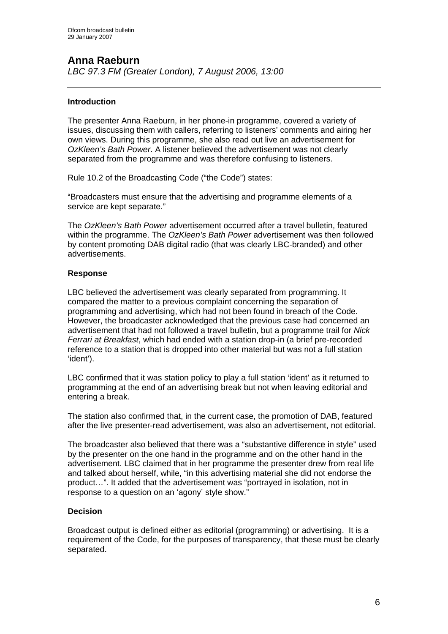# **Anna Raeburn**

*LBC 97.3 FM (Greater London), 7 August 2006, 13:00* 

# **Introduction**

The presenter Anna Raeburn, in her phone-in programme, covered a variety of issues, discussing them with callers, referring to listeners' comments and airing her own views. During this programme, she also read out live an advertisement for *OzKleen's Bath Power*. A listener believed the advertisement was not clearly separated from the programme and was therefore confusing to listeners.

Rule 10.2 of the Broadcasting Code ("the Code") states:

"Broadcasters must ensure that the advertising and programme elements of a service are kept separate."

The *OzKleen's Bath Power* advertisement occurred after a travel bulletin, featured within the programme. The *OzKleen's Bath Power* advertisement was then followed by content promoting DAB digital radio (that was clearly LBC-branded) and other advertisements.

# **Response**

LBC believed the advertisement was clearly separated from programming. It compared the matter to a previous complaint concerning the separation of programming and advertising, which had not been found in breach of the Code. However, the broadcaster acknowledged that the previous case had concerned an advertisement that had not followed a travel bulletin, but a programme trail for *Nick Ferrari at Breakfast*, which had ended with a station drop-in (a brief pre-recorded reference to a station that is dropped into other material but was not a full station 'ident').

LBC confirmed that it was station policy to play a full station 'ident' as it returned to programming at the end of an advertising break but not when leaving editorial and entering a break.

The station also confirmed that, in the current case, the promotion of DAB, featured after the live presenter-read advertisement, was also an advertisement, not editorial.

The broadcaster also believed that there was a "substantive difference in style" used by the presenter on the one hand in the programme and on the other hand in the advertisement. LBC claimed that in her programme the presenter drew from real life and talked about herself, while, "in this advertising material she did not endorse the product…". It added that the advertisement was "portrayed in isolation, not in response to a question on an 'agony' style show."

# **Decision**

Broadcast output is defined either as editorial (programming) or advertising. It is a requirement of the Code, for the purposes of transparency, that these must be clearly separated.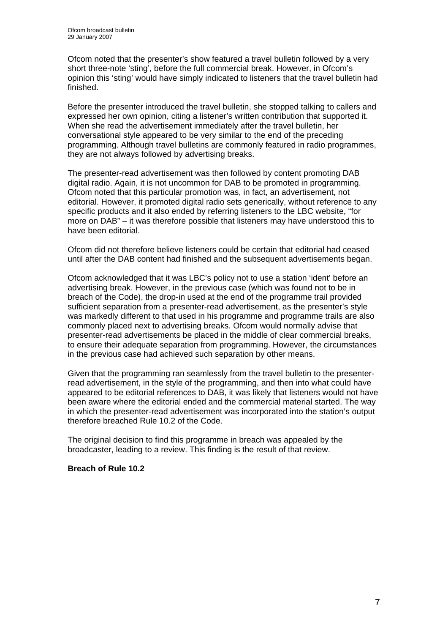Ofcom noted that the presenter's show featured a travel bulletin followed by a very short three-note 'sting', before the full commercial break. However, in Ofcom's opinion this 'sting' would have simply indicated to listeners that the travel bulletin had finished.

Before the presenter introduced the travel bulletin, she stopped talking to callers and expressed her own opinion, citing a listener's written contribution that supported it. When she read the advertisement immediately after the travel bulletin, her conversational style appeared to be very similar to the end of the preceding programming. Although travel bulletins are commonly featured in radio programmes, they are not always followed by advertising breaks.

The presenter-read advertisement was then followed by content promoting DAB digital radio. Again, it is not uncommon for DAB to be promoted in programming. Ofcom noted that this particular promotion was, in fact, an advertisement, not editorial. However, it promoted digital radio sets generically, without reference to any specific products and it also ended by referring listeners to the LBC website, "for more on DAB" – it was therefore possible that listeners may have understood this to have been editorial.

Ofcom did not therefore believe listeners could be certain that editorial had ceased until after the DAB content had finished and the subsequent advertisements began.

Ofcom acknowledged that it was LBC's policy not to use a station 'ident' before an advertising break. However, in the previous case (which was found not to be in breach of the Code), the drop-in used at the end of the programme trail provided sufficient separation from a presenter-read advertisement, as the presenter's style was markedly different to that used in his programme and programme trails are also commonly placed next to advertising breaks. Ofcom would normally advise that presenter-read advertisements be placed in the middle of clear commercial breaks, to ensure their adequate separation from programming. However, the circumstances in the previous case had achieved such separation by other means.

Given that the programming ran seamlessly from the travel bulletin to the presenterread advertisement, in the style of the programming, and then into what could have appeared to be editorial references to DAB, it was likely that listeners would not have been aware where the editorial ended and the commercial material started. The way in which the presenter-read advertisement was incorporated into the station's output therefore breached Rule 10.2 of the Code.

The original decision to find this programme in breach was appealed by the broadcaster, leading to a review. This finding is the result of that review.

# **Breach of Rule 10.2**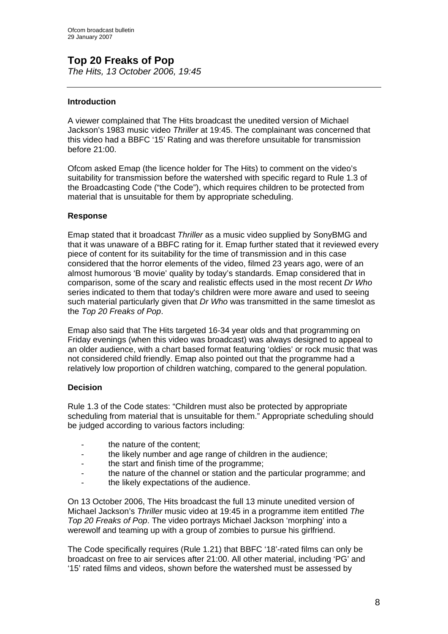# **Top 20 Freaks of Pop**

*The Hits, 13 October 2006, 19:45* 

# **Introduction**

A viewer complained that The Hits broadcast the unedited version of Michael Jackson's 1983 music video *Thriller* at 19:45. The complainant was concerned that this video had a BBFC '15' Rating and was therefore unsuitable for transmission before 21:00.

Ofcom asked Emap (the licence holder for The Hits) to comment on the video's suitability for transmission before the watershed with specific regard to Rule 1.3 of the Broadcasting Code ("the Code"), which requires children to be protected from material that is unsuitable for them by appropriate scheduling.

# **Response**

Emap stated that it broadcast *Thriller* as a music video supplied by SonyBMG and that it was unaware of a BBFC rating for it. Emap further stated that it reviewed every piece of content for its suitability for the time of transmission and in this case considered that the horror elements of the video, filmed 23 years ago, were of an almost humorous 'B movie' quality by today's standards. Emap considered that in comparison, some of the scary and realistic effects used in the most recent *Dr Who* series indicated to them that today's children were more aware and used to seeing such material particularly given that *Dr Who* was transmitted in the same timeslot as the *Top 20 Freaks of Pop*.

Emap also said that The Hits targeted 16-34 year olds and that programming on Friday evenings (when this video was broadcast) was always designed to appeal to an older audience, with a chart based format featuring 'oldies' or rock music that was not considered child friendly. Emap also pointed out that the programme had a relatively low proportion of children watching, compared to the general population.

# **Decision**

Rule 1.3 of the Code states: "Children must also be protected by appropriate scheduling from material that is unsuitable for them." Appropriate scheduling should be judged according to various factors including:

- the nature of the content;
- the likely number and age range of children in the audience:
- the start and finish time of the programme;
- the nature of the channel or station and the particular programme; and
- the likely expectations of the audience.

On 13 October 2006, The Hits broadcast the full 13 minute unedited version of Michael Jackson's *Thriller* music video at 19:45 in a programme item entitled *The Top 20 Freaks of Pop*. The video portrays Michael Jackson 'morphing' into a werewolf and teaming up with a group of zombies to pursue his girlfriend.

The Code specifically requires (Rule 1.21) that BBFC '18'-rated films can only be broadcast on free to air services after 21:00. All other material, including 'PG' and '15' rated films and videos, shown before the watershed must be assessed by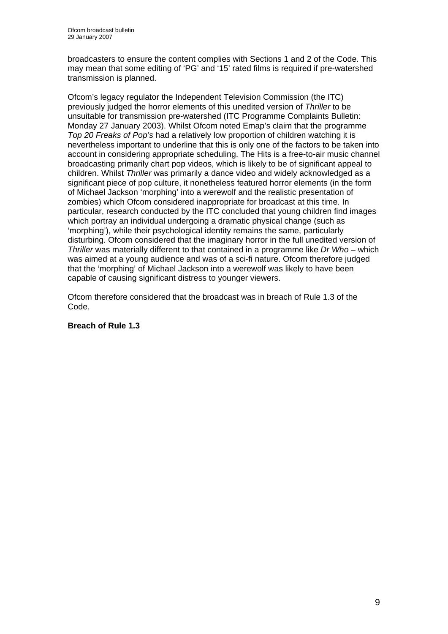broadcasters to ensure the content complies with Sections 1 and 2 of the Code. This may mean that some editing of 'PG' and '15' rated films is required if pre-watershed transmission is planned.

Ofcom's legacy regulator the Independent Television Commission (the ITC) previously judged the horror elements of this unedited version of *Thriller* to be unsuitable for transmission pre-watershed (ITC Programme Complaints Bulletin: Monday 27 January 2003). Whilst Ofcom noted Emap's claim that the programme *Top 20 Freaks of Pop's* had a relatively low proportion of children watching it is nevertheless important to underline that this is only one of the factors to be taken into account in considering appropriate scheduling. The Hits is a free-to-air music channel broadcasting primarily chart pop videos, which is likely to be of significant appeal to children. Whilst *Thriller* was primarily a dance video and widely acknowledged as a significant piece of pop culture, it nonetheless featured horror elements (in the form of Michael Jackson 'morphing' into a werewolf and the realistic presentation of zombies) which Ofcom considered inappropriate for broadcast at this time. In particular, research conducted by the ITC concluded that young children find images which portray an individual undergoing a dramatic physical change (such as 'morphing'), while their psychological identity remains the same, particularly disturbing. Ofcom considered that the imaginary horror in the full unedited version of *Thriller* was materially different to that contained in a programme like *Dr Who* – which was aimed at a young audience and was of a sci-fi nature. Ofcom therefore judged that the 'morphing' of Michael Jackson into a werewolf was likely to have been capable of causing significant distress to younger viewers.

Ofcom therefore considered that the broadcast was in breach of Rule 1.3 of the Code.

# **Breach of Rule 1.3**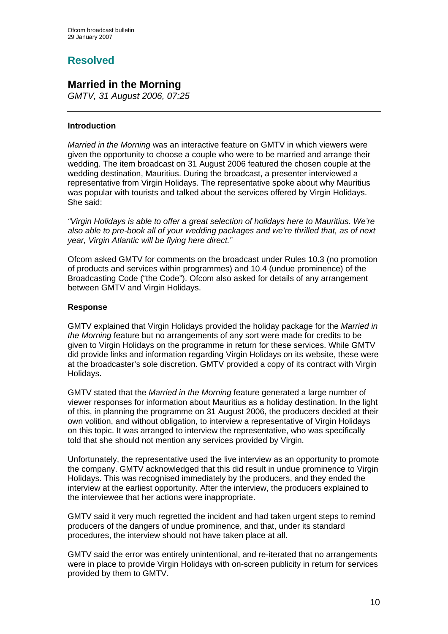# **Resolved**

# **Married in the Morning**

*GMTV, 31 August 2006, 07:25* 

# **Introduction**

*Married in the Morning* was an interactive feature on GMTV in which viewers were given the opportunity to choose a couple who were to be married and arrange their wedding. The item broadcast on 31 August 2006 featured the chosen couple at the wedding destination, Mauritius. During the broadcast, a presenter interviewed a representative from Virgin Holidays. The representative spoke about why Mauritius was popular with tourists and talked about the services offered by Virgin Holidays. She said:

*"Virgin Holidays is able to offer a great selection of holidays here to Mauritius. We're also able to pre-book all of your wedding packages and we're thrilled that, as of next year, Virgin Atlantic will be flying here direct."* 

Ofcom asked GMTV for comments on the broadcast under Rules 10.3 (no promotion of products and services within programmes) and 10.4 (undue prominence) of the Broadcasting Code ("the Code"). Ofcom also asked for details of any arrangement between GMTV and Virgin Holidays.

# **Response**

GMTV explained that Virgin Holidays provided the holiday package for the *Married in the Morning* feature but no arrangements of any sort were made for credits to be given to Virgin Holidays on the programme in return for these services. While GMTV did provide links and information regarding Virgin Holidays on its website, these were at the broadcaster's sole discretion. GMTV provided a copy of its contract with Virgin Holidays.

GMTV stated that the *Married in the Morning* feature generated a large number of viewer responses for information about Mauritius as a holiday destination. In the light of this, in planning the programme on 31 August 2006, the producers decided at their own volition, and without obligation, to interview a representative of Virgin Holidays on this topic. It was arranged to interview the representative, who was specifically told that she should not mention any services provided by Virgin.

Unfortunately, the representative used the live interview as an opportunity to promote the company. GMTV acknowledged that this did result in undue prominence to Virgin Holidays. This was recognised immediately by the producers, and they ended the interview at the earliest opportunity. After the interview, the producers explained to the interviewee that her actions were inappropriate.

GMTV said it very much regretted the incident and had taken urgent steps to remind producers of the dangers of undue prominence, and that, under its standard procedures, the interview should not have taken place at all.

GMTV said the error was entirely unintentional, and re-iterated that no arrangements were in place to provide Virgin Holidays with on-screen publicity in return for services provided by them to GMTV.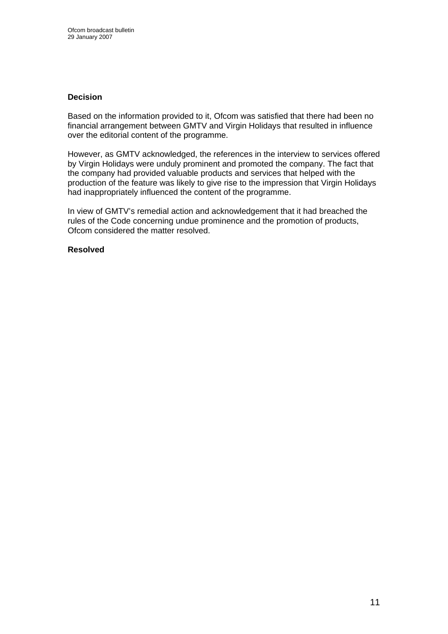### **Decision**

Based on the information provided to it, Ofcom was satisfied that there had been no financial arrangement between GMTV and Virgin Holidays that resulted in influence over the editorial content of the programme.

However, as GMTV acknowledged, the references in the interview to services offered by Virgin Holidays were unduly prominent and promoted the company. The fact that the company had provided valuable products and services that helped with the production of the feature was likely to give rise to the impression that Virgin Holidays had inappropriately influenced the content of the programme.

In view of GMTV's remedial action and acknowledgement that it had breached the rules of the Code concerning undue prominence and the promotion of products, Ofcom considered the matter resolved.

### **Resolved**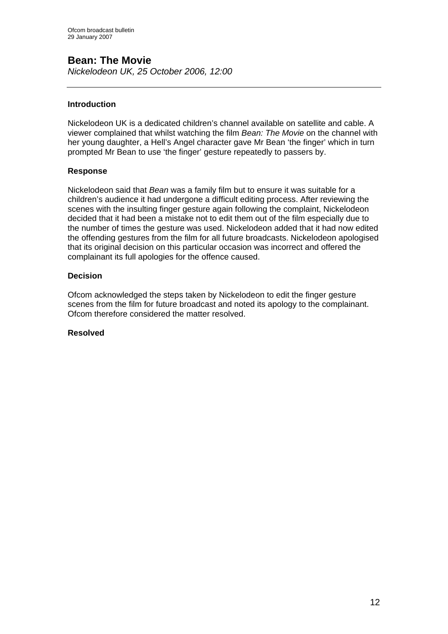# **Bean: The Movie**

*Nickelodeon UK, 25 October 2006, 12:00* 

# **Introduction**

Nickelodeon UK is a dedicated children's channel available on satellite and cable. A viewer complained that whilst watching the film *Bean: The Movie* on the channel with her young daughter, a Hell's Angel character gave Mr Bean 'the finger' which in turn prompted Mr Bean to use 'the finger' gesture repeatedly to passers by.

# **Response**

Nickelodeon said that *Bean* was a family film but to ensure it was suitable for a children's audience it had undergone a difficult editing process. After reviewing the scenes with the insulting finger gesture again following the complaint, Nickelodeon decided that it had been a mistake not to edit them out of the film especially due to the number of times the gesture was used. Nickelodeon added that it had now edited the offending gestures from the film for all future broadcasts. Nickelodeon apologised that its original decision on this particular occasion was incorrect and offered the complainant its full apologies for the offence caused.

# **Decision**

Ofcom acknowledged the steps taken by Nickelodeon to edit the finger gesture scenes from the film for future broadcast and noted its apology to the complainant. Ofcom therefore considered the matter resolved.

# **Resolved**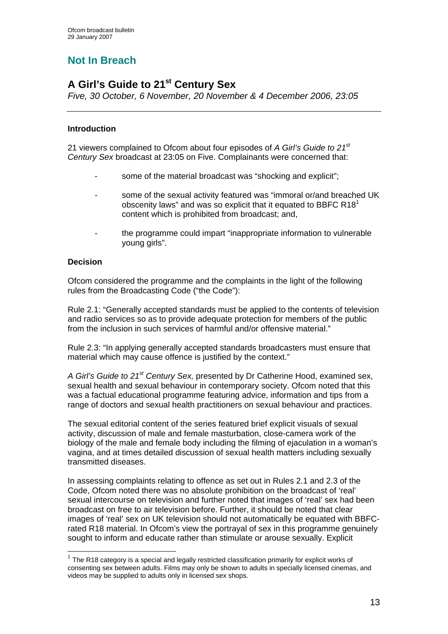# **Not In Breach**

# **A Girl's Guide to 21st Century Sex**

*Five, 30 October, 6 November, 20 November & 4 December 2006, 23:05* 

# **Introduction**

21 viewers complained to Ofcom about four episodes of *A Girl's Guide to 21st Century Sex* broadcast at 23:05 on Five. Complainants were concerned that:

- some of the material broadcast was "shocking and explicit";
- some of the sexual activity featured was "immoral or/and breached UK obscenity laws" and was so explicit that it equated to BBFC R18 $1$  content which is prohibited from broadcast; and,
	- the programme could impart "inappropriate information to vulnerable young girls".

# **Decision**

1

Ofcom considered the programme and the complaints in the light of the following rules from the Broadcasting Code ("the Code"):

Rule 2.1: "Generally accepted standards must be applied to the contents of television and radio services so as to provide adequate protection for members of the public from the inclusion in such services of harmful and/or offensive material."

Rule 2.3: "In applying generally accepted standards broadcasters must ensure that material which may cause offence is justified by the context."

*A Girl's Guide to 21st Century Sex,* presented by Dr Catherine Hood, examined sex, sexual health and sexual behaviour in contemporary society. Ofcom noted that this was a factual educational programme featuring advice, information and tips from a range of doctors and sexual health practitioners on sexual behaviour and practices.

The sexual editorial content of the series featured brief explicit visuals of sexual activity, discussion of male and female masturbation, close-camera work of the biology of the male and female body including the filming of ejaculation in a woman's vagina, and at times detailed discussion of sexual health matters including sexually transmitted diseases.

In assessing complaints relating to offence as set out in Rules 2.1 and 2.3 of the Code, Ofcom noted there was no absolute prohibition on the broadcast of 'real' sexual intercourse on television and further noted that images of 'real' sex had been broadcast on free to air television before. Further, it should be noted that clear images of 'real' sex on UK television should not automatically be equated with BBFCrated R18 material. In Ofcom's view the portrayal of sex in this programme genuinely sought to inform and educate rather than stimulate or arouse sexually. Explicit

 $1$  The R18 category is a special and legally restricted classification primarily for explicit works of consenting sex between adults. Films may only be shown to adults in specially licensed cinemas, and videos may be supplied to adults only in licensed sex shops.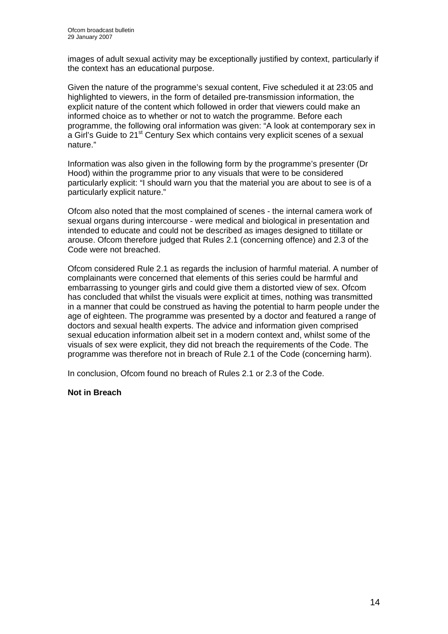images of adult sexual activity may be exceptionally justified by context, particularly if the context has an educational purpose.

Given the nature of the programme's sexual content, Five scheduled it at 23:05 and highlighted to viewers, in the form of detailed pre-transmission information, the explicit nature of the content which followed in order that viewers could make an informed choice as to whether or not to watch the programme. Before each programme, the following oral information was given: "A look at contemporary sex in a Girl's Guide to 21<sup>st</sup> Century Sex which contains very explicit scenes of a sexual nature."

Information was also given in the following form by the programme's presenter (Dr Hood) within the programme prior to any visuals that were to be considered particularly explicit: "I should warn you that the material you are about to see is of a particularly explicit nature."

Ofcom also noted that the most complained of scenes - the internal camera work of sexual organs during intercourse - were medical and biological in presentation and intended to educate and could not be described as images designed to titillate or arouse. Ofcom therefore judged that Rules 2.1 (concerning offence) and 2.3 of the Code were not breached.

Ofcom considered Rule 2.1 as regards the inclusion of harmful material. A number of complainants were concerned that elements of this series could be harmful and embarrassing to younger girls and could give them a distorted view of sex. Ofcom has concluded that whilst the visuals were explicit at times, nothing was transmitted in a manner that could be construed as having the potential to harm people under the age of eighteen. The programme was presented by a doctor and featured a range of doctors and sexual health experts. The advice and information given comprised sexual education information albeit set in a modern context and, whilst some of the visuals of sex were explicit, they did not breach the requirements of the Code. The programme was therefore not in breach of Rule 2.1 of the Code (concerning harm).

In conclusion, Ofcom found no breach of Rules 2.1 or 2.3 of the Code.

# **Not in Breach**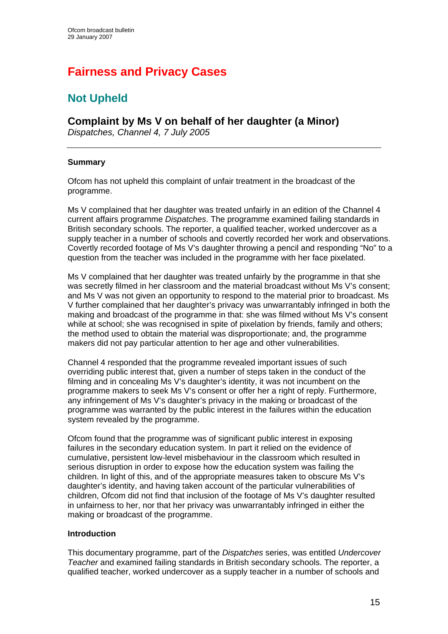# **Fairness and Privacy Cases**

# **Not Upheld**

# **Complaint by Ms V on behalf of her daughter (a Minor)**

*Dispatches, Channel 4, 7 July 2005* 

# **Summary**

Ofcom has not upheld this complaint of unfair treatment in the broadcast of the programme.

Ms V complained that her daughter was treated unfairly in an edition of the Channel 4 current affairs programme *Dispatches*. The programme examined failing standards in British secondary schools. The reporter, a qualified teacher, worked undercover as a supply teacher in a number of schools and covertly recorded her work and observations. Covertly recorded footage of Ms V's daughter throwing a pencil and responding "No" to a question from the teacher was included in the programme with her face pixelated.

Ms V complained that her daughter was treated unfairly by the programme in that she was secretly filmed in her classroom and the material broadcast without Ms V's consent; and Ms V was not given an opportunity to respond to the material prior to broadcast. Ms V further complained that her daughter's privacy was unwarrantably infringed in both the making and broadcast of the programme in that: she was filmed without Ms V's consent while at school; she was recognised in spite of pixelation by friends, family and others; the method used to obtain the material was disproportionate; and, the programme makers did not pay particular attention to her age and other vulnerabilities.

Channel 4 responded that the programme revealed important issues of such overriding public interest that, given a number of steps taken in the conduct of the filming and in concealing Ms V's daughter's identity, it was not incumbent on the programme makers to seek Ms V's consent or offer her a right of reply. Furthermore, any infringement of Ms V's daughter's privacy in the making or broadcast of the programme was warranted by the public interest in the failures within the education system revealed by the programme.

Ofcom found that the programme was of significant public interest in exposing failures in the secondary education system. In part it relied on the evidence of cumulative, persistent low-level misbehaviour in the classroom which resulted in serious disruption in order to expose how the education system was failing the children. In light of this, and of the appropriate measures taken to obscure Ms V's daughter's identity, and having taken account of the particular vulnerabilities of children, Ofcom did not find that inclusion of the footage of Ms V's daughter resulted in unfairness to her, nor that her privacy was unwarrantably infringed in either the making or broadcast of the programme.

# **Introduction**

This documentary programme, part of the *Dispatches* series, was entitled *Undercover Teacher* and examined failing standards in British secondary schools. The reporter, a qualified teacher, worked undercover as a supply teacher in a number of schools and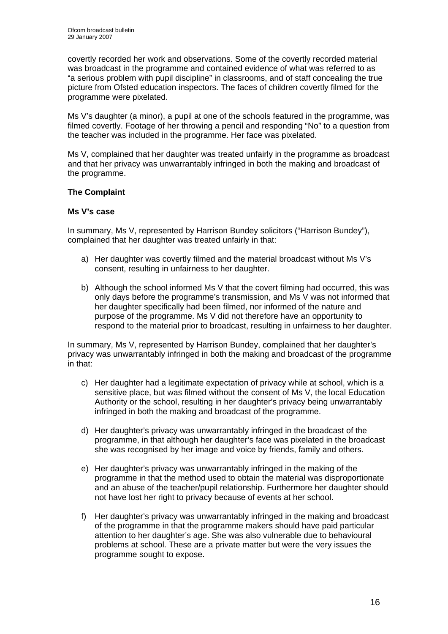covertly recorded her work and observations. Some of the covertly recorded material was broadcast in the programme and contained evidence of what was referred to as "a serious problem with pupil discipline" in classrooms, and of staff concealing the true picture from Ofsted education inspectors. The faces of children covertly filmed for the programme were pixelated.

Ms V's daughter (a minor), a pupil at one of the schools featured in the programme, was filmed covertly. Footage of her throwing a pencil and responding "No" to a question from the teacher was included in the programme. Her face was pixelated.

Ms V, complained that her daughter was treated unfairly in the programme as broadcast and that her privacy was unwarrantably infringed in both the making and broadcast of the programme.

# **The Complaint**

# **Ms V's case**

In summary, Ms V, represented by Harrison Bundey solicitors ("Harrison Bundey"), complained that her daughter was treated unfairly in that:

- a) Her daughter was covertly filmed and the material broadcast without Ms V's consent, resulting in unfairness to her daughter.
- b) Although the school informed Ms V that the covert filming had occurred, this was only days before the programme's transmission, and Ms V was not informed that her daughter specifically had been filmed, nor informed of the nature and purpose of the programme. Ms V did not therefore have an opportunity to respond to the material prior to broadcast, resulting in unfairness to her daughter.

In summary, Ms V, represented by Harrison Bundey, complained that her daughter's privacy was unwarrantably infringed in both the making and broadcast of the programme in that:

- c) Her daughter had a legitimate expectation of privacy while at school, which is a sensitive place, but was filmed without the consent of Ms V, the local Education Authority or the school, resulting in her daughter's privacy being unwarrantably infringed in both the making and broadcast of the programme.
- d) Her daughter's privacy was unwarrantably infringed in the broadcast of the programme, in that although her daughter's face was pixelated in the broadcast she was recognised by her image and voice by friends, family and others.
- e) Her daughter's privacy was unwarrantably infringed in the making of the programme in that the method used to obtain the material was disproportionate and an abuse of the teacher/pupil relationship. Furthermore her daughter should not have lost her right to privacy because of events at her school.
- f) Her daughter's privacy was unwarrantably infringed in the making and broadcast of the programme in that the programme makers should have paid particular attention to her daughter's age. She was also vulnerable due to behavioural problems at school. These are a private matter but were the very issues the programme sought to expose.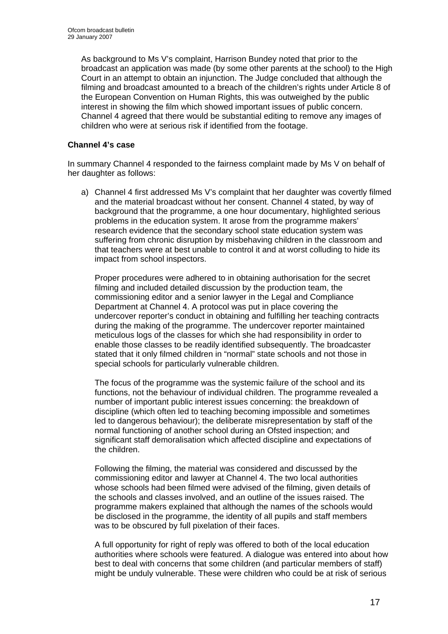As background to Ms V's complaint, Harrison Bundey noted that prior to the broadcast an application was made (by some other parents at the school) to the High Court in an attempt to obtain an injunction. The Judge concluded that although the filming and broadcast amounted to a breach of the children's rights under Article 8 of the European Convention on Human Rights, this was outweighed by the public interest in showing the film which showed important issues of public concern. Channel 4 agreed that there would be substantial editing to remove any images of children who were at serious risk if identified from the footage.

# **Channel 4's case**

In summary Channel 4 responded to the fairness complaint made by Ms V on behalf of her daughter as follows:

a) Channel 4 first addressed Ms V's complaint that her daughter was covertly filmed and the material broadcast without her consent. Channel 4 stated, by way of background that the programme, a one hour documentary, highlighted serious problems in the education system. It arose from the programme makers' research evidence that the secondary school state education system was suffering from chronic disruption by misbehaving children in the classroom and that teachers were at best unable to control it and at worst colluding to hide its impact from school inspectors.

Proper procedures were adhered to in obtaining authorisation for the secret filming and included detailed discussion by the production team, the commissioning editor and a senior lawyer in the Legal and Compliance Department at Channel 4. A protocol was put in place covering the undercover reporter's conduct in obtaining and fulfilling her teaching contracts during the making of the programme. The undercover reporter maintained meticulous logs of the classes for which she had responsibility in order to enable those classes to be readily identified subsequently. The broadcaster stated that it only filmed children in "normal" state schools and not those in special schools for particularly vulnerable children.

The focus of the programme was the systemic failure of the school and its functions, not the behaviour of individual children. The programme revealed a number of important public interest issues concerning: the breakdown of discipline (which often led to teaching becoming impossible and sometimes led to dangerous behaviour); the deliberate misrepresentation by staff of the normal functioning of another school during an Ofsted inspection; and significant staff demoralisation which affected discipline and expectations of the children.

Following the filming, the material was considered and discussed by the commissioning editor and lawyer at Channel 4. The two local authorities whose schools had been filmed were advised of the filming, given details of the schools and classes involved, and an outline of the issues raised. The programme makers explained that although the names of the schools would be disclosed in the programme, the identity of all pupils and staff members was to be obscured by full pixelation of their faces.

A full opportunity for right of reply was offered to both of the local education authorities where schools were featured. A dialogue was entered into about how best to deal with concerns that some children (and particular members of staff) might be unduly vulnerable. These were children who could be at risk of serious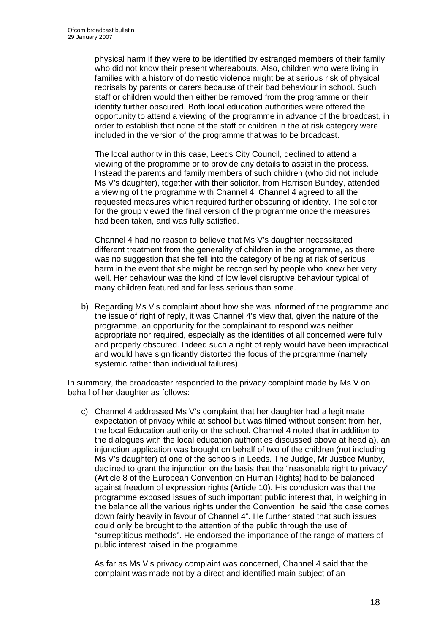physical harm if they were to be identified by estranged members of their family who did not know their present whereabouts. Also, children who were living in families with a history of domestic violence might be at serious risk of physical reprisals by parents or carers because of their bad behaviour in school. Such staff or children would then either be removed from the programme or their identity further obscured. Both local education authorities were offered the opportunity to attend a viewing of the programme in advance of the broadcast, in order to establish that none of the staff or children in the at risk category were included in the version of the programme that was to be broadcast.

The local authority in this case, Leeds City Council, declined to attend a viewing of the programme or to provide any details to assist in the process. Instead the parents and family members of such children (who did not include Ms V's daughter), together with their solicitor, from Harrison Bundey, attended a viewing of the programme with Channel 4. Channel 4 agreed to all the requested measures which required further obscuring of identity. The solicitor for the group viewed the final version of the programme once the measures had been taken, and was fully satisfied.

Channel 4 had no reason to believe that Ms V's daughter necessitated different treatment from the generality of children in the programme, as there was no suggestion that she fell into the category of being at risk of serious harm in the event that she might be recognised by people who knew her very well. Her behaviour was the kind of low level disruptive behaviour typical of many children featured and far less serious than some.

b) Regarding Ms V's complaint about how she was informed of the programme and the issue of right of reply, it was Channel 4's view that, given the nature of the programme, an opportunity for the complainant to respond was neither appropriate nor required, especially as the identities of all concerned were fully and properly obscured. Indeed such a right of reply would have been impractical and would have significantly distorted the focus of the programme (namely systemic rather than individual failures).

In summary, the broadcaster responded to the privacy complaint made by Ms V on behalf of her daughter as follows:

c) Channel 4 addressed Ms V's complaint that her daughter had a legitimate expectation of privacy while at school but was filmed without consent from her, the local Education authority or the school. Channel 4 noted that in addition to the dialogues with the local education authorities discussed above at head a), an injunction application was brought on behalf of two of the children (not including Ms V's daughter) at one of the schools in Leeds. The Judge, Mr Justice Munby, declined to grant the injunction on the basis that the "reasonable right to privacy" (Article 8 of the European Convention on Human Rights) had to be balanced against freedom of expression rights (Article 10). His conclusion was that the programme exposed issues of such important public interest that, in weighing in the balance all the various rights under the Convention, he said "the case comes down fairly heavily in favour of Channel 4". He further stated that such issues could only be brought to the attention of the public through the use of "surreptitious methods". He endorsed the importance of the range of matters of public interest raised in the programme.

 As far as Ms V's privacy complaint was concerned, Channel 4 said that the complaint was made not by a direct and identified main subject of an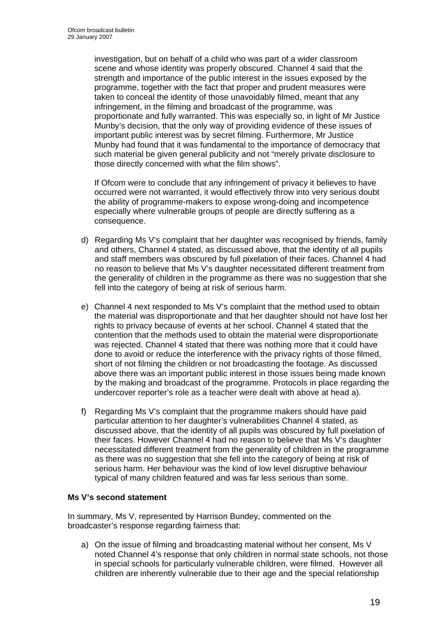investigation, but on behalf of a child who was part of a wider classroom scene and whose identity was properly obscured. Channel 4 said that the strength and importance of the public interest in the issues exposed by the programme, together with the fact that proper and prudent measures were taken to conceal the identity of those unavoidably filmed, meant that any infringement, in the filming and broadcast of the programme, was proportionate and fully warranted. This was especially so, in light of Mr Justice Munby's decision, that the only way of providing evidence of these issues of important public interest was by secret filming. Furthermore, Mr Justice Munby had found that it was fundamental to the importance of democracy that such material be given general publicity and not "merely private disclosure to those directly concerned with what the film shows".

If Ofcom were to conclude that any infringement of privacy it believes to have occurred were not warranted, it would effectively throw into very serious doubt the ability of programme-makers to expose wrong-doing and incompetence especially where vulnerable groups of people are directly suffering as a consequence.

- d) Regarding Ms V's complaint that her daughter was recognised by friends, family and others, Channel 4 stated, as discussed above, that the identity of all pupils and staff members was obscured by full pixelation of their faces. Channel 4 had no reason to believe that Ms V's daughter necessitated different treatment from the generality of children in the programme as there was no suggestion that she fell into the category of being at risk of serious harm.
- e) Channel 4 next responded to Ms V's complaint that the method used to obtain the material was disproportionate and that her daughter should not have lost her rights to privacy because of events at her school. Channel 4 stated that the contention that the methods used to obtain the material were disproportionate was rejected. Channel 4 stated that there was nothing more that it could have done to avoid or reduce the interference with the privacy rights of those filmed, short of not filming the children or not broadcasting the footage. As discussed above there was an important public interest in those issues being made known by the making and broadcast of the programme. Protocols in place regarding the undercover reporter's role as a teacher were dealt with above at head a).
- f) Regarding Ms V's complaint that the programme makers should have paid particular attention to her daughter's vulnerabilities Channel 4 stated, as discussed above, that the identity of all pupils was obscured by full pixelation of their faces. However Channel 4 had no reason to believe that Ms V's daughter necessitated different treatment from the generality of children in the programme as there was no suggestion that she fell into the category of being at risk of serious harm. Her behaviour was the kind of low level disruptive behaviour typical of many children featured and was far less serious than some.

# **Ms V's second statement**

In summary, Ms V, represented by Harrison Bundey, commented on the broadcaster's response regarding fairness that:

a) On the issue of filming and broadcasting material without her consent, Ms V noted Channel 4's response that only children in normal state schools, not those in special schools for particularly vulnerable children, were filmed. However all children are inherently vulnerable due to their age and the special relationship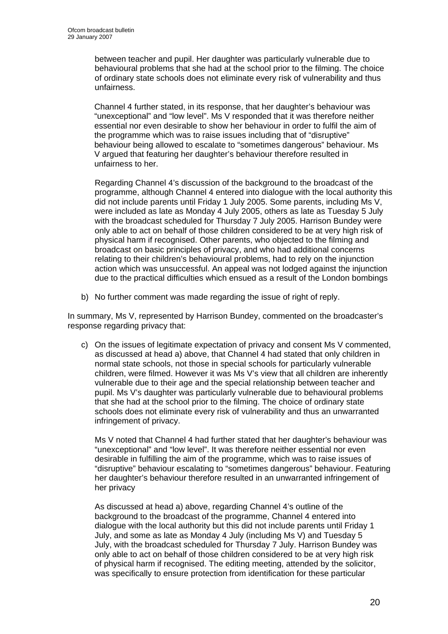between teacher and pupil. Her daughter was particularly vulnerable due to behavioural problems that she had at the school prior to the filming. The choice of ordinary state schools does not eliminate every risk of vulnerability and thus unfairness.

Channel 4 further stated, in its response, that her daughter's behaviour was "unexceptional" and "low level". Ms V responded that it was therefore neither essential nor even desirable to show her behaviour in order to fulfil the aim of the programme which was to raise issues including that of "disruptive" behaviour being allowed to escalate to "sometimes dangerous" behaviour. Ms V argued that featuring her daughter's behaviour therefore resulted in unfairness to her.

Regarding Channel 4's discussion of the background to the broadcast of the programme, although Channel 4 entered into dialogue with the local authority this did not include parents until Friday 1 July 2005. Some parents, including Ms V, were included as late as Monday 4 July 2005, others as late as Tuesday 5 July with the broadcast scheduled for Thursday 7 July 2005. Harrison Bundey were only able to act on behalf of those children considered to be at very high risk of physical harm if recognised. Other parents, who objected to the filming and broadcast on basic principles of privacy, and who had additional concerns relating to their children's behavioural problems, had to rely on the injunction action which was unsuccessful. An appeal was not lodged against the injunction due to the practical difficulties which ensued as a result of the London bombings

b) No further comment was made regarding the issue of right of reply.

In summary, Ms V, represented by Harrison Bundey, commented on the broadcaster's response regarding privacy that:

c) On the issues of legitimate expectation of privacy and consent Ms V commented, as discussed at head a) above, that Channel 4 had stated that only children in normal state schools, not those in special schools for particularly vulnerable children, were filmed. However it was Ms V's view that all children are inherently vulnerable due to their age and the special relationship between teacher and pupil. Ms V's daughter was particularly vulnerable due to behavioural problems that she had at the school prior to the filming. The choice of ordinary state schools does not eliminate every risk of vulnerability and thus an unwarranted infringement of privacy.

Ms V noted that Channel 4 had further stated that her daughter's behaviour was "unexceptional" and "low level". It was therefore neither essential nor even desirable in fulfilling the aim of the programme, which was to raise issues of "disruptive" behaviour escalating to "sometimes dangerous" behaviour. Featuring her daughter's behaviour therefore resulted in an unwarranted infringement of her privacy

As discussed at head a) above, regarding Channel 4's outline of the background to the broadcast of the programme, Channel 4 entered into dialogue with the local authority but this did not include parents until Friday 1 July, and some as late as Monday 4 July (including Ms V) and Tuesday 5 July, with the broadcast scheduled for Thursday 7 July. Harrison Bundey was only able to act on behalf of those children considered to be at very high risk of physical harm if recognised. The editing meeting, attended by the solicitor, was specifically to ensure protection from identification for these particular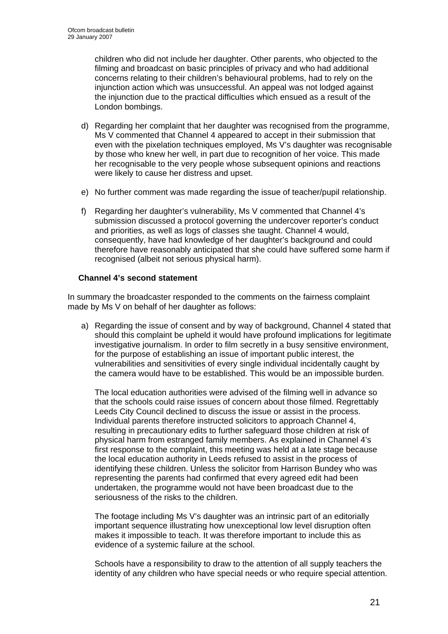children who did not include her daughter. Other parents, who objected to the filming and broadcast on basic principles of privacy and who had additional concerns relating to their children's behavioural problems, had to rely on the injunction action which was unsuccessful. An appeal was not lodged against the injunction due to the practical difficulties which ensued as a result of the London bombings.

- d) Regarding her complaint that her daughter was recognised from the programme, Ms V commented that Channel 4 appeared to accept in their submission that even with the pixelation techniques employed, Ms V's daughter was recognisable by those who knew her well, in part due to recognition of her voice. This made her recognisable to the very people whose subsequent opinions and reactions were likely to cause her distress and upset.
- e) No further comment was made regarding the issue of teacher/pupil relationship.
- f) Regarding her daughter's vulnerability, Ms V commented that Channel 4's submission discussed a protocol governing the undercover reporter's conduct and priorities, as well as logs of classes she taught. Channel 4 would, consequently, have had knowledge of her daughter's background and could therefore have reasonably anticipated that she could have suffered some harm if recognised (albeit not serious physical harm).

# **Channel 4's second statement**

In summary the broadcaster responded to the comments on the fairness complaint made by Ms V on behalf of her daughter as follows:

a) Regarding the issue of consent and by way of background, Channel 4 stated that should this complaint be upheld it would have profound implications for legitimate investigative journalism. In order to film secretly in a busy sensitive environment, for the purpose of establishing an issue of important public interest, the vulnerabilities and sensitivities of every single individual incidentally caught by the camera would have to be established. This would be an impossible burden.

The local education authorities were advised of the filming well in advance so that the schools could raise issues of concern about those filmed. Regrettably Leeds City Council declined to discuss the issue or assist in the process. Individual parents therefore instructed solicitors to approach Channel 4, resulting in precautionary edits to further safeguard those children at risk of physical harm from estranged family members. As explained in Channel 4's first response to the complaint, this meeting was held at a late stage because the local education authority in Leeds refused to assist in the process of identifying these children. Unless the solicitor from Harrison Bundey who was representing the parents had confirmed that every agreed edit had been undertaken, the programme would not have been broadcast due to the seriousness of the risks to the children.

The footage including Ms V's daughter was an intrinsic part of an editorially important sequence illustrating how unexceptional low level disruption often makes it impossible to teach. It was therefore important to include this as evidence of a systemic failure at the school.

Schools have a responsibility to draw to the attention of all supply teachers the identity of any children who have special needs or who require special attention.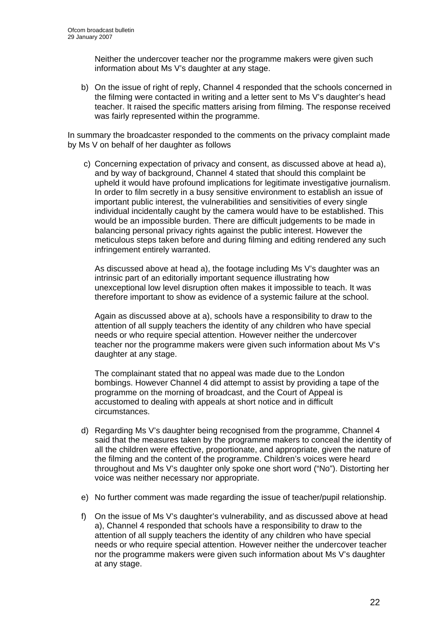Neither the undercover teacher nor the programme makers were given such information about Ms V's daughter at any stage.

b) On the issue of right of reply, Channel 4 responded that the schools concerned in the filming were contacted in writing and a letter sent to Ms V's daughter's head teacher. It raised the specific matters arising from filming. The response received was fairly represented within the programme.

In summary the broadcaster responded to the comments on the privacy complaint made by Ms V on behalf of her daughter as follows

c) Concerning expectation of privacy and consent, as discussed above at head a), and by way of background, Channel 4 stated that should this complaint be upheld it would have profound implications for legitimate investigative journalism. In order to film secretly in a busy sensitive environment to establish an issue of important public interest, the vulnerabilities and sensitivities of every single individual incidentally caught by the camera would have to be established. This would be an impossible burden. There are difficult judgements to be made in balancing personal privacy rights against the public interest. However the meticulous steps taken before and during filming and editing rendered any such infringement entirely warranted.

As discussed above at head a), the footage including Ms V's daughter was an intrinsic part of an editorially important sequence illustrating how unexceptional low level disruption often makes it impossible to teach. It was therefore important to show as evidence of a systemic failure at the school.

Again as discussed above at a), schools have a responsibility to draw to the attention of all supply teachers the identity of any children who have special needs or who require special attention. However neither the undercover teacher nor the programme makers were given such information about Ms V's daughter at any stage.

The complainant stated that no appeal was made due to the London bombings. However Channel 4 did attempt to assist by providing a tape of the programme on the morning of broadcast, and the Court of Appeal is accustomed to dealing with appeals at short notice and in difficult circumstances.

- d) Regarding Ms V's daughter being recognised from the programme, Channel 4 said that the measures taken by the programme makers to conceal the identity of all the children were effective, proportionate, and appropriate, given the nature of the filming and the content of the programme. Children's voices were heard throughout and Ms V's daughter only spoke one short word ("No"). Distorting her voice was neither necessary nor appropriate.
- e) No further comment was made regarding the issue of teacher/pupil relationship.
- f) On the issue of Ms V's daughter's vulnerability, and as discussed above at head a), Channel 4 responded that schools have a responsibility to draw to the attention of all supply teachers the identity of any children who have special needs or who require special attention. However neither the undercover teacher nor the programme makers were given such information about Ms V's daughter at any stage.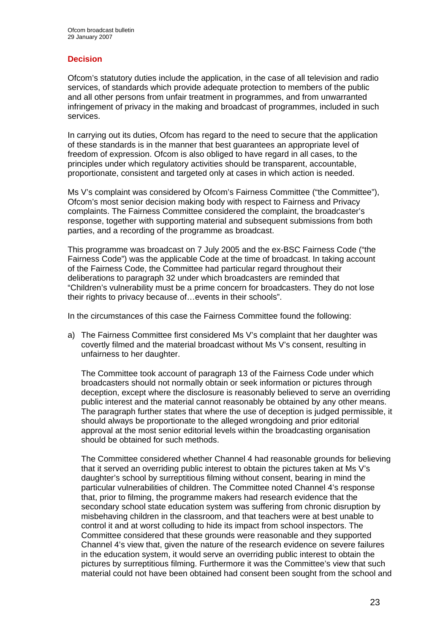# **Decision**

Ofcom's statutory duties include the application, in the case of all television and radio services, of standards which provide adequate protection to members of the public and all other persons from unfair treatment in programmes, and from unwarranted infringement of privacy in the making and broadcast of programmes, included in such services.

In carrying out its duties, Ofcom has regard to the need to secure that the application of these standards is in the manner that best guarantees an appropriate level of freedom of expression. Ofcom is also obliged to have regard in all cases, to the principles under which regulatory activities should be transparent, accountable, proportionate, consistent and targeted only at cases in which action is needed.

Ms V's complaint was considered by Ofcom's Fairness Committee ("the Committee"), Ofcom's most senior decision making body with respect to Fairness and Privacy complaints. The Fairness Committee considered the complaint, the broadcaster's response, together with supporting material and subsequent submissions from both parties, and a recording of the programme as broadcast.

This programme was broadcast on 7 July 2005 and the ex-BSC Fairness Code ("the Fairness Code") was the applicable Code at the time of broadcast. In taking account of the Fairness Code, the Committee had particular regard throughout their deliberations to paragraph 32 under which broadcasters are reminded that "Children's vulnerability must be a prime concern for broadcasters. They do not lose their rights to privacy because of…events in their schools".

In the circumstances of this case the Fairness Committee found the following:

a) The Fairness Committee first considered Ms V's complaint that her daughter was covertly filmed and the material broadcast without Ms V's consent, resulting in unfairness to her daughter.

The Committee took account of paragraph 13 of the Fairness Code under which broadcasters should not normally obtain or seek information or pictures through deception, except where the disclosure is reasonably believed to serve an overriding public interest and the material cannot reasonably be obtained by any other means. The paragraph further states that where the use of deception is judged permissible, it should always be proportionate to the alleged wrongdoing and prior editorial approval at the most senior editorial levels within the broadcasting organisation should be obtained for such methods.

The Committee considered whether Channel 4 had reasonable grounds for believing that it served an overriding public interest to obtain the pictures taken at Ms V's daughter's school by surreptitious filming without consent, bearing in mind the particular vulnerabilities of children. The Committee noted Channel 4's response that, prior to filming, the programme makers had research evidence that the secondary school state education system was suffering from chronic disruption by misbehaving children in the classroom, and that teachers were at best unable to control it and at worst colluding to hide its impact from school inspectors. The Committee considered that these grounds were reasonable and they supported Channel 4's view that, given the nature of the research evidence on severe failures in the education system, it would serve an overriding public interest to obtain the pictures by surreptitious filming. Furthermore it was the Committee's view that such material could not have been obtained had consent been sought from the school and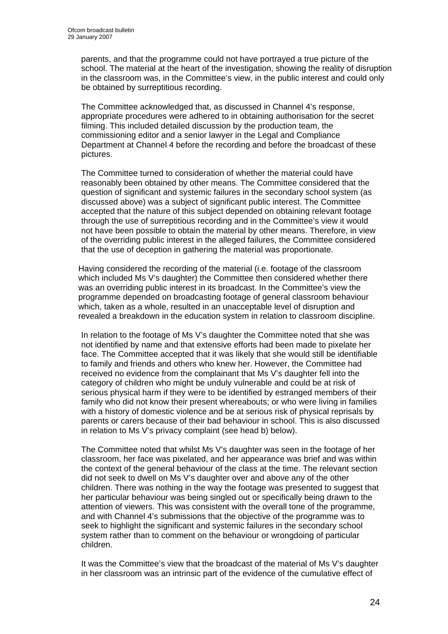parents, and that the programme could not have portrayed a true picture of the school. The material at the heart of the investigation, showing the reality of disruption in the classroom was, in the Committee's view, in the public interest and could only be obtained by surreptitious recording.

The Committee acknowledged that, as discussed in Channel 4's response, appropriate procedures were adhered to in obtaining authorisation for the secret filming. This included detailed discussion by the production team, the commissioning editor and a senior lawyer in the Legal and Compliance Department at Channel 4 before the recording and before the broadcast of these pictures.

The Committee turned to consideration of whether the material could have reasonably been obtained by other means. The Committee considered that the question of significant and systemic failures in the secondary school system (as discussed above) was a subject of significant public interest. The Committee accepted that the nature of this subject depended on obtaining relevant footage through the use of surreptitious recording and in the Committee's view it would not have been possible to obtain the material by other means. Therefore, in view of the overriding public interest in the alleged failures, the Committee considered that the use of deception in gathering the material was proportionate.

Having considered the recording of the material (i.e. footage of the classroom which included Ms V's daughter) the Committee then considered whether there was an overriding public interest in its broadcast. In the Committee's view the programme depended on broadcasting footage of general classroom behaviour which, taken as a whole, resulted in an unacceptable level of disruption and revealed a breakdown in the education system in relation to classroom discipline.

In relation to the footage of Ms V's daughter the Committee noted that she was not identified by name and that extensive efforts had been made to pixelate her face. The Committee accepted that it was likely that she would still be identifiable to family and friends and others who knew her. However, the Committee had received no evidence from the complainant that Ms V's daughter fell into the category of children who might be unduly vulnerable and could be at risk of serious physical harm if they were to be identified by estranged members of their family who did not know their present whereabouts; or who were living in families with a history of domestic violence and be at serious risk of physical reprisals by parents or carers because of their bad behaviour in school. This is also discussed in relation to Ms V's privacy complaint (see head b) below).

The Committee noted that whilst Ms V's daughter was seen in the footage of her classroom, her face was pixelated, and her appearance was brief and was within the context of the general behaviour of the class at the time. The relevant section did not seek to dwell on Ms V's daughter over and above any of the other children. There was nothing in the way the footage was presented to suggest that her particular behaviour was being singled out or specifically being drawn to the attention of viewers. This was consistent with the overall tone of the programme, and with Channel 4's submissions that the objective of the programme was to seek to highlight the significant and systemic failures in the secondary school system rather than to comment on the behaviour or wrongdoing of particular children.

It was the Committee's view that the broadcast of the material of Ms V's daughter in her classroom was an intrinsic part of the evidence of the cumulative effect of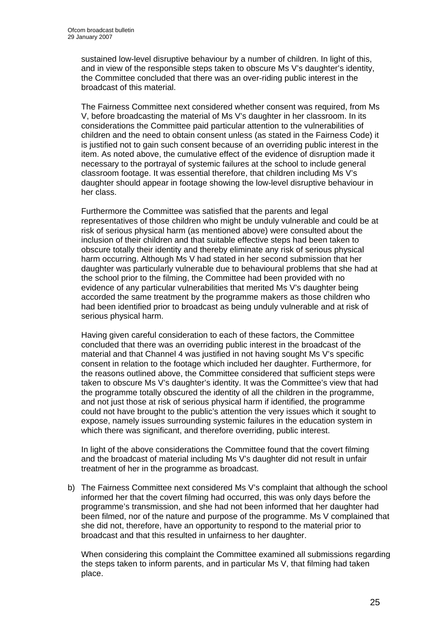sustained low-level disruptive behaviour by a number of children. In light of this, and in view of the responsible steps taken to obscure Ms V's daughter's identity, the Committee concluded that there was an over-riding public interest in the broadcast of this material.

The Fairness Committee next considered whether consent was required, from Ms V, before broadcasting the material of Ms V's daughter in her classroom. In its considerations the Committee paid particular attention to the vulnerabilities of children and the need to obtain consent unless (as stated in the Fairness Code) it is justified not to gain such consent because of an overriding public interest in the item. As noted above, the cumulative effect of the evidence of disruption made it necessary to the portrayal of systemic failures at the school to include general classroom footage. It was essential therefore, that children including Ms V's daughter should appear in footage showing the low-level disruptive behaviour in her class.

Furthermore the Committee was satisfied that the parents and legal representatives of those children who might be unduly vulnerable and could be at risk of serious physical harm (as mentioned above) were consulted about the inclusion of their children and that suitable effective steps had been taken to obscure totally their identity and thereby eliminate any risk of serious physical harm occurring. Although Ms V had stated in her second submission that her daughter was particularly vulnerable due to behavioural problems that she had at the school prior to the filming, the Committee had been provided with no evidence of any particular vulnerabilities that merited Ms V's daughter being accorded the same treatment by the programme makers as those children who had been identified prior to broadcast as being unduly vulnerable and at risk of serious physical harm.

Having given careful consideration to each of these factors, the Committee concluded that there was an overriding public interest in the broadcast of the material and that Channel 4 was justified in not having sought Ms V's specific consent in relation to the footage which included her daughter. Furthermore, for the reasons outlined above, the Committee considered that sufficient steps were taken to obscure Ms V's daughter's identity. It was the Committee's view that had the programme totally obscured the identity of all the children in the programme, and not just those at risk of serious physical harm if identified, the programme could not have brought to the public's attention the very issues which it sought to expose, namely issues surrounding systemic failures in the education system in which there was significant, and therefore overriding, public interest.

In light of the above considerations the Committee found that the covert filming and the broadcast of material including Ms V's daughter did not result in unfair treatment of her in the programme as broadcast.

b) The Fairness Committee next considered Ms V's complaint that although the school informed her that the covert filming had occurred, this was only days before the programme's transmission, and she had not been informed that her daughter had been filmed, nor of the nature and purpose of the programme. Ms V complained that she did not, therefore, have an opportunity to respond to the material prior to broadcast and that this resulted in unfairness to her daughter.

When considering this complaint the Committee examined all submissions regarding the steps taken to inform parents, and in particular Ms V, that filming had taken place.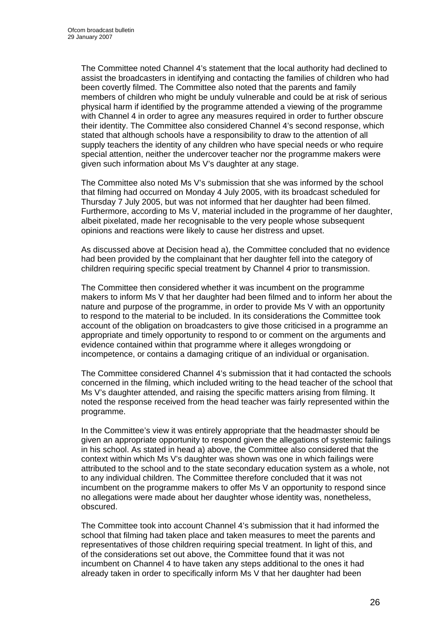The Committee noted Channel 4's statement that the local authority had declined to assist the broadcasters in identifying and contacting the families of children who had been covertly filmed. The Committee also noted that the parents and family members of children who might be unduly vulnerable and could be at risk of serious physical harm if identified by the programme attended a viewing of the programme with Channel 4 in order to agree any measures required in order to further obscure their identity. The Committee also considered Channel 4's second response, which stated that although schools have a responsibility to draw to the attention of all supply teachers the identity of any children who have special needs or who require special attention, neither the undercover teacher nor the programme makers were given such information about Ms V's daughter at any stage.

The Committee also noted Ms V's submission that she was informed by the school that filming had occurred on Monday 4 July 2005, with its broadcast scheduled for Thursday 7 July 2005, but was not informed that her daughter had been filmed. Furthermore, according to Ms V, material included in the programme of her daughter, albeit pixelated, made her recognisable to the very people whose subsequent opinions and reactions were likely to cause her distress and upset.

As discussed above at Decision head a), the Committee concluded that no evidence had been provided by the complainant that her daughter fell into the category of children requiring specific special treatment by Channel 4 prior to transmission.

The Committee then considered whether it was incumbent on the programme makers to inform Ms V that her daughter had been filmed and to inform her about the nature and purpose of the programme, in order to provide Ms V with an opportunity to respond to the material to be included. In its considerations the Committee took account of the obligation on broadcasters to give those criticised in a programme an appropriate and timely opportunity to respond to or comment on the arguments and evidence contained within that programme where it alleges wrongdoing or incompetence, or contains a damaging critique of an individual or organisation.

The Committee considered Channel 4's submission that it had contacted the schools concerned in the filming, which included writing to the head teacher of the school that Ms V's daughter attended, and raising the specific matters arising from filming. It noted the response received from the head teacher was fairly represented within the programme.

In the Committee's view it was entirely appropriate that the headmaster should be given an appropriate opportunity to respond given the allegations of systemic failings in his school. As stated in head a) above, the Committee also considered that the context within which Ms V's daughter was shown was one in which failings were attributed to the school and to the state secondary education system as a whole, not to any individual children. The Committee therefore concluded that it was not incumbent on the programme makers to offer Ms V an opportunity to respond since no allegations were made about her daughter whose identity was, nonetheless, obscured.

The Committee took into account Channel 4's submission that it had informed the school that filming had taken place and taken measures to meet the parents and representatives of those children requiring special treatment. In light of this, and of the considerations set out above, the Committee found that it was not incumbent on Channel 4 to have taken any steps additional to the ones it had already taken in order to specifically inform Ms V that her daughter had been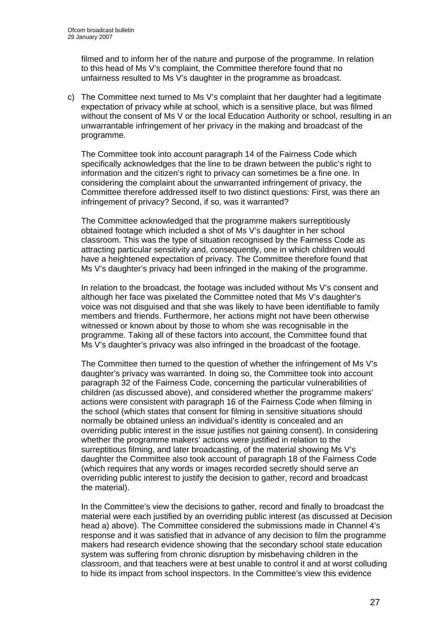filmed and to inform her of the nature and purpose of the programme. In relation to this head of Ms V's complaint, the Committee therefore found that no unfairness resulted to Ms V's daughter in the programme as broadcast.

c) The Committee next turned to Ms V's complaint that her daughter had a legitimate expectation of privacy while at school, which is a sensitive place, but was filmed without the consent of Ms V or the local Education Authority or school, resulting in an unwarrantable infringement of her privacy in the making and broadcast of the programme.

 The Committee took into account paragraph 14 of the Fairness Code which specifically acknowledges that the line to be drawn between the public's right to information and the citizen's right to privacy can sometimes be a fine one. In considering the complaint about the unwarranted infringement of privacy, the Committee therefore addressed itself to two distinct questions: First, was there an infringement of privacy? Second, if so, was it warranted?

The Committee acknowledged that the programme makers surreptitiously obtained footage which included a shot of Ms V's daughter in her school classroom. This was the type of situation recognised by the Fairness Code as attracting particular sensitivity and, consequently, one in which children would have a heightened expectation of privacy. The Committee therefore found that Ms V's daughter's privacy had been infringed in the making of the programme.

In relation to the broadcast, the footage was included without Ms V's consent and although her face was pixelated the Committee noted that Ms V's daughter's voice was not disguised and that she was likely to have been identifiable to family members and friends. Furthermore, her actions might not have been otherwise witnessed or known about by those to whom she was recognisable in the programme. Taking all of these factors into account, the Committee found that Ms V's daughter's privacy was also infringed in the broadcast of the footage.

The Committee then turned to the question of whether the infringement of Ms V's daughter's privacy was warranted. In doing so, the Committee took into account paragraph 32 of the Fairness Code, concerning the particular vulnerabilities of children (as discussed above), and considered whether the programme makers' actions were consistent with paragraph 16 of the Fairness Code when filming in the school (which states that consent for filming in sensitive situations should normally be obtained unless an individual's identity is concealed and an overriding public interest in the issue justifies not gaining consent). In considering whether the programme makers' actions were justified in relation to the surreptitious filming, and later broadcasting, of the material showing Ms V's daughter the Committee also took account of paragraph 18 of the Fairness Code (which requires that any words or images recorded secretly should serve an overriding public interest to justify the decision to gather, record and broadcast the material).

In the Committee's view the decisions to gather, record and finally to broadcast the material were each justified by an overriding public interest (as discussed at Decision head a) above). The Committee considered the submissions made in Channel 4's response and it was satisfied that in advance of any decision to film the programme makers had research evidence showing that the secondary school state education system was suffering from chronic disruption by misbehaving children in the classroom, and that teachers were at best unable to control it and at worst colluding to hide its impact from school inspectors. In the Committee's view this evidence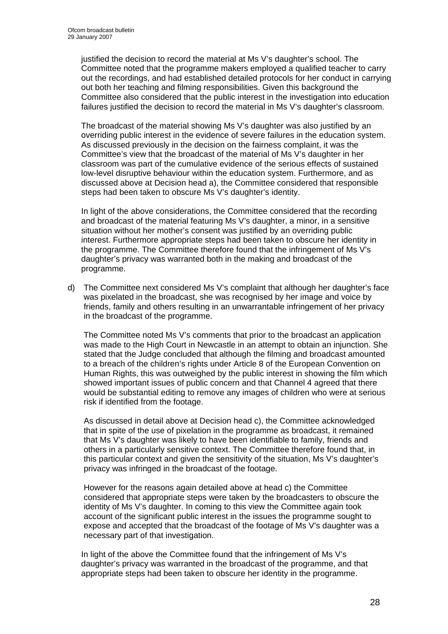justified the decision to record the material at Ms V's daughter's school. The Committee noted that the programme makers employed a qualified teacher to carry out the recordings, and had established detailed protocols for her conduct in carrying out both her teaching and filming responsibilities. Given this background the Committee also considered that the public interest in the investigation into education failures justified the decision to record the material in Ms V's daughter's classroom.

The broadcast of the material showing Ms V's daughter was also justified by an overriding public interest in the evidence of severe failures in the education system. As discussed previously in the decision on the fairness complaint, it was the Committee's view that the broadcast of the material of Ms V's daughter in her classroom was part of the cumulative evidence of the serious effects of sustained low-level disruptive behaviour within the education system. Furthermore, and as discussed above at Decision head a), the Committee considered that responsible steps had been taken to obscure Ms V's daughter's identity.

In light of the above considerations, the Committee considered that the recording and broadcast of the material featuring Ms V's daughter, a minor, in a sensitive situation without her mother's consent was justified by an overriding public interest. Furthermore appropriate steps had been taken to obscure her identity in the programme. The Committee therefore found that the infringement of Ms V's daughter's privacy was warranted both in the making and broadcast of the programme.

d) The Committee next considered Ms V's complaint that although her daughter's face was pixelated in the broadcast, she was recognised by her image and voice by friends, family and others resulting in an unwarrantable infringement of her privacy in the broadcast of the programme.

The Committee noted Ms V's comments that prior to the broadcast an application was made to the High Court in Newcastle in an attempt to obtain an injunction. She stated that the Judge concluded that although the filming and broadcast amounted to a breach of the children's rights under Article 8 of the European Convention on Human Rights, this was outweighed by the public interest in showing the film which showed important issues of public concern and that Channel 4 agreed that there would be substantial editing to remove any images of children who were at serious risk if identified from the footage.

As discussed in detail above at Decision head c), the Committee acknowledged that in spite of the use of pixelation in the programme as broadcast, it remained that Ms V's daughter was likely to have been identifiable to family, friends and others in a particularly sensitive context. The Committee therefore found that, in this particular context and given the sensitivity of the situation, Ms V's daughter's privacy was infringed in the broadcast of the footage.

However for the reasons again detailed above at head c) the Committee considered that appropriate steps were taken by the broadcasters to obscure the identity of Ms V's daughter. In coming to this view the Committee again took account of the significant public interest in the issues the programme sought to expose and accepted that the broadcast of the footage of Ms V's daughter was a necessary part of that investigation.

In light of the above the Committee found that the infringement of Ms V's daughter's privacy was warranted in the broadcast of the programme, and that appropriate steps had been taken to obscure her identity in the programme.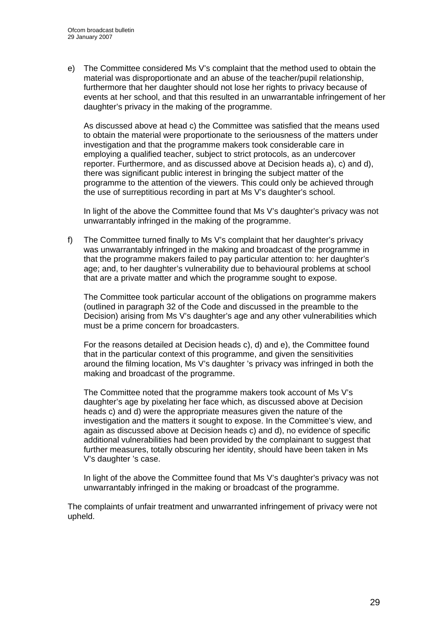e) The Committee considered Ms V's complaint that the method used to obtain the material was disproportionate and an abuse of the teacher/pupil relationship, furthermore that her daughter should not lose her rights to privacy because of events at her school, and that this resulted in an unwarrantable infringement of her daughter's privacy in the making of the programme.

As discussed above at head c) the Committee was satisfied that the means used to obtain the material were proportionate to the seriousness of the matters under investigation and that the programme makers took considerable care in employing a qualified teacher, subject to strict protocols, as an undercover reporter. Furthermore, and as discussed above at Decision heads a), c) and d), there was significant public interest in bringing the subject matter of the programme to the attention of the viewers. This could only be achieved through the use of surreptitious recording in part at Ms V's daughter's school.

In light of the above the Committee found that Ms V's daughter's privacy was not unwarrantably infringed in the making of the programme.

f) The Committee turned finally to Ms V's complaint that her daughter's privacy was unwarrantably infringed in the making and broadcast of the programme in that the programme makers failed to pay particular attention to: her daughter's age; and, to her daughter's vulnerability due to behavioural problems at school that are a private matter and which the programme sought to expose.

The Committee took particular account of the obligations on programme makers (outlined in paragraph 32 of the Code and discussed in the preamble to the Decision) arising from Ms V's daughter's age and any other vulnerabilities which must be a prime concern for broadcasters.

For the reasons detailed at Decision heads c), d) and e), the Committee found that in the particular context of this programme, and given the sensitivities around the filming location, Ms V's daughter 's privacy was infringed in both the making and broadcast of the programme.

The Committee noted that the programme makers took account of Ms V's daughter's age by pixelating her face which, as discussed above at Decision heads c) and d) were the appropriate measures given the nature of the investigation and the matters it sought to expose. In the Committee's view, and again as discussed above at Decision heads c) and d), no evidence of specific additional vulnerabilities had been provided by the complainant to suggest that further measures, totally obscuring her identity, should have been taken in Ms V's daughter 's case.

In light of the above the Committee found that Ms V's daughter's privacy was not unwarrantably infringed in the making or broadcast of the programme.

The complaints of unfair treatment and unwarranted infringement of privacy were not upheld.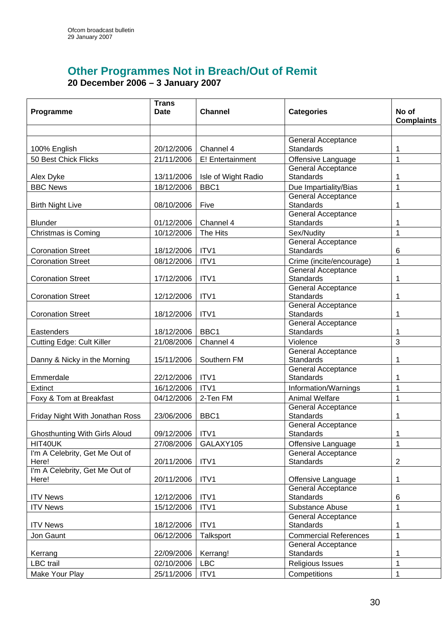# **Other Programmes Not in Breach/Out of Remit 20 December 2006 – 3 January 2007**

| Programme                            | <b>Trans</b><br>Date | <b>Channel</b>      | <b>Categories</b>                                     | No of<br><b>Complaints</b> |
|--------------------------------------|----------------------|---------------------|-------------------------------------------------------|----------------------------|
|                                      |                      |                     |                                                       |                            |
| 100% English                         | 20/12/2006           | Channel 4           | <b>General Acceptance</b><br>Standards                | 1                          |
| 50 Best Chick Flicks                 | 21/11/2006           | E! Entertainment    | Offensive Language                                    | 1                          |
|                                      |                      |                     | General Acceptance                                    |                            |
| Alex Dyke                            | 13/11/2006           | Isle of Wight Radio | <b>Standards</b>                                      | 1                          |
| <b>BBC News</b>                      | 18/12/2006           | BBC1                | Due Impartiality/Bias                                 | 1                          |
|                                      |                      |                     | <b>General Acceptance</b>                             |                            |
| <b>Birth Night Live</b>              | 08/10/2006           | Five                | <b>Standards</b>                                      | 1                          |
|                                      |                      |                     | General Acceptance                                    |                            |
| <b>Blunder</b>                       | 01/12/2006           | Channel 4           | <b>Standards</b>                                      | 1                          |
| Christmas is Coming                  | 10/12/2006           | The Hits            | Sex/Nudity                                            | 1                          |
| <b>Coronation Street</b>             |                      | ITV1                | General Acceptance<br>Standards                       |                            |
|                                      | 18/12/2006           |                     |                                                       | 6                          |
| <b>Coronation Street</b>             | 08/12/2006           | ITV1                | Crime (incite/encourage)<br><b>General Acceptance</b> | $\mathbf 1$                |
| <b>Coronation Street</b>             | 17/12/2006           | ITV1                | <b>Standards</b>                                      | 1                          |
|                                      |                      |                     | General Acceptance                                    |                            |
| <b>Coronation Street</b>             | 12/12/2006           | ITV1                | <b>Standards</b>                                      | 1                          |
|                                      |                      |                     | General Acceptance                                    |                            |
| <b>Coronation Street</b>             | 18/12/2006           | ITV1                | <b>Standards</b>                                      | 1                          |
|                                      |                      |                     | General Acceptance                                    |                            |
| Eastenders                           | 18/12/2006           | BBC1                | <b>Standards</b>                                      | 1                          |
| <b>Cutting Edge: Cult Killer</b>     | 21/08/2006           | Channel 4           | Violence                                              | 3                          |
|                                      |                      |                     | <b>General Acceptance</b>                             |                            |
| Danny & Nicky in the Morning         | 15/11/2006           | Southern FM         | <b>Standards</b>                                      | 1                          |
|                                      |                      |                     | General Acceptance                                    |                            |
| Emmerdale                            | 22/12/2006           | ITV1                | Standards                                             | 1                          |
| Extinct                              | 16/12/2006           | ITV1                | Information/Warnings                                  | 1                          |
| Foxy & Tom at Breakfast              | 04/12/2006           | 2-Ten FM            | <b>Animal Welfare</b>                                 | 1                          |
|                                      |                      |                     | General Acceptance                                    |                            |
| Friday Night With Jonathan Ross      | 23/06/2006           | BBC1                | <b>Standards</b>                                      | 1                          |
| <b>Ghosthunting With Girls Aloud</b> | 09/12/2006           | ITV1                | General Acceptance<br><b>Standards</b>                | 1                          |
| HIT40UK                              | 27/08/2006           | GALAXY105           | Offensive Language                                    | 1                          |
| I'm A Celebrity, Get Me Out of       |                      |                     | <b>General Acceptance</b>                             |                            |
| Here!                                | 20/11/2006           | ITV1                | <b>Standards</b>                                      | $\overline{2}$             |
| I'm A Celebrity, Get Me Out of       |                      |                     |                                                       |                            |
| Here!                                | 20/11/2006           | ITV1                | Offensive Language                                    | 1                          |
|                                      |                      |                     | General Acceptance                                    |                            |
| <b>ITV News</b>                      | 12/12/2006           | ITV1                | <b>Standards</b>                                      | 6                          |
| <b>ITV News</b>                      | 15/12/2006           | ITV1                | Substance Abuse                                       | 1                          |
|                                      |                      |                     | General Acceptance                                    |                            |
| <b>ITV News</b>                      | 18/12/2006           | ITV1                | <b>Standards</b>                                      | 1                          |
| Jon Gaunt                            | 06/12/2006           | Talksport           | <b>Commercial References</b>                          | $\mathbf 1$                |
|                                      |                      |                     | General Acceptance                                    |                            |
| Kerrang                              | 22/09/2006           | Kerrang!            | <b>Standards</b>                                      | 1                          |
| <b>LBC</b> trail                     | 02/10/2006           | <b>LBC</b>          | Religious Issues                                      | 1                          |
| Make Your Play                       | 25/11/2006           | ITV1                | Competitions                                          | $\mathbf{1}$               |